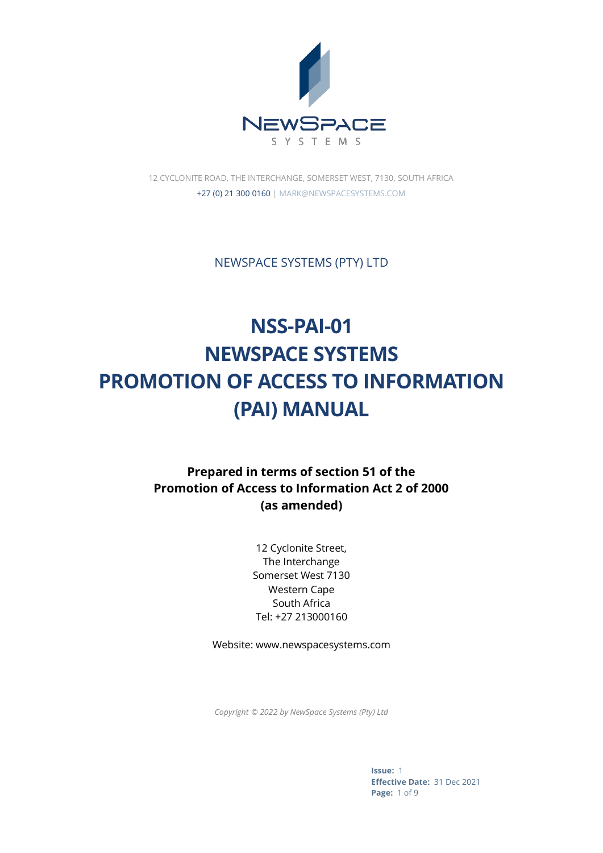

12 CYCLONITE ROAD, THE INTERCHANGE, SOMERSET WEST, 7130, SOUTH AFRICA +27 (0) 21 300 0160 | MARK@NEWSPACESYSTEMS.COM

NEWSPACE SYSTEMS (PTY) LTD

# **NSS-PAI-01 NEWSPACE SYSTEMS PROMOTION OF ACCESS TO INFORMATION (PAI) MANUAL**

## **Prepared in terms of section 51 of the Promotion of Access to Information Act 2 of 2000 (as amended)**

12 Cyclonite Street, The Interchange Somerset West 7130 Western Cape South Africa Tel: +27 213000160

Website: www.newspacesystems.com

*Copyright © 2022 by NewSpace Systems (Pty) Ltd*

**Issue:** 1 **Effective Date:** 31 Dec 2021 **Page:** 1 of 9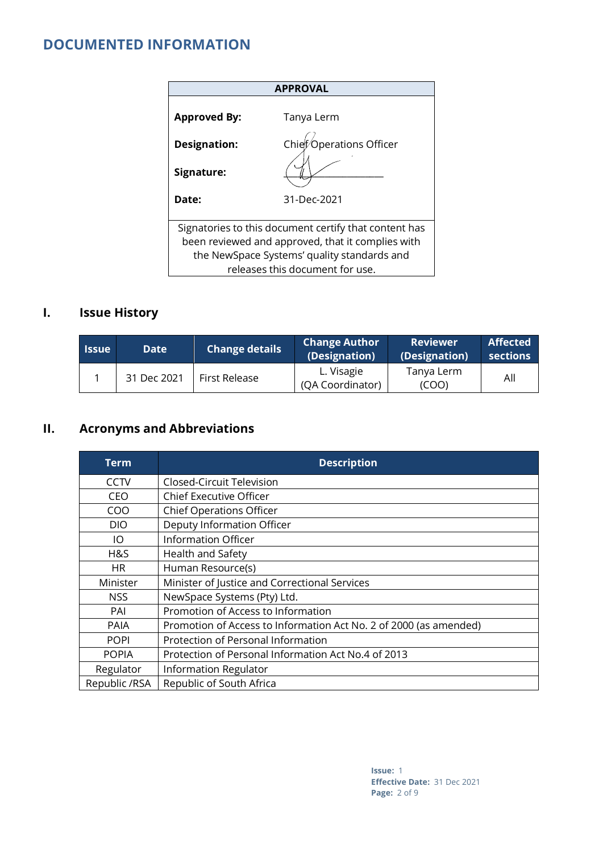## **DOCUMENTED INFORMATION**

|                     | <b>APPROVAL</b>                                                                                                                                                                              |
|---------------------|----------------------------------------------------------------------------------------------------------------------------------------------------------------------------------------------|
| <b>Approved By:</b> | Tanya Lerm                                                                                                                                                                                   |
| <b>Designation:</b> | $\overline{\mathsf{\circ}}$ Operations Officer<br>Chief <sub>k</sub>                                                                                                                         |
| Signature:          |                                                                                                                                                                                              |
| Date:               | 31-Dec-2021                                                                                                                                                                                  |
|                     | Signatories to this document certify that content has<br>been reviewed and approved, that it complies with<br>the NewSpace Systems' quality standards and<br>releases this document for use. |

# **I. Issue History**

| l Issue l | <b>Date</b> | <b>Change details</b> | <b>Change Author</b><br>(Designation) | <b>Reviewer</b><br>(Designation) | <b>Affected</b><br>sections |
|-----------|-------------|-----------------------|---------------------------------------|----------------------------------|-----------------------------|
|           | 31 Dec 2021 | First Release         | L. Visagie<br>(QA Coordinator)        | Tanya Lerm<br>(COO)              | All                         |

## **II. Acronyms and Abbreviations**

| Term          | <b>Description</b>                                                |
|---------------|-------------------------------------------------------------------|
| CCTV          | Closed-Circuit Television                                         |
| <b>CEO</b>    | <b>Chief Executive Officer</b>                                    |
| COO           | <b>Chief Operations Officer</b>                                   |
| <b>DIO</b>    | Deputy Information Officer                                        |
| IO            | Information Officer                                               |
| H&S           | Health and Safety                                                 |
| HR.           | Human Resource(s)                                                 |
| Minister      | Minister of Justice and Correctional Services                     |
| NSS.          | NewSpace Systems (Pty) Ltd.                                       |
| PAI           | Promotion of Access to Information                                |
| <b>PAIA</b>   | Promotion of Access to Information Act No. 2 of 2000 (as amended) |
| <b>POPI</b>   | Protection of Personal Information                                |
| <b>POPIA</b>  | Protection of Personal Information Act No.4 of 2013               |
| Regulator     | Information Regulator                                             |
| Republic /RSA | Republic of South Africa                                          |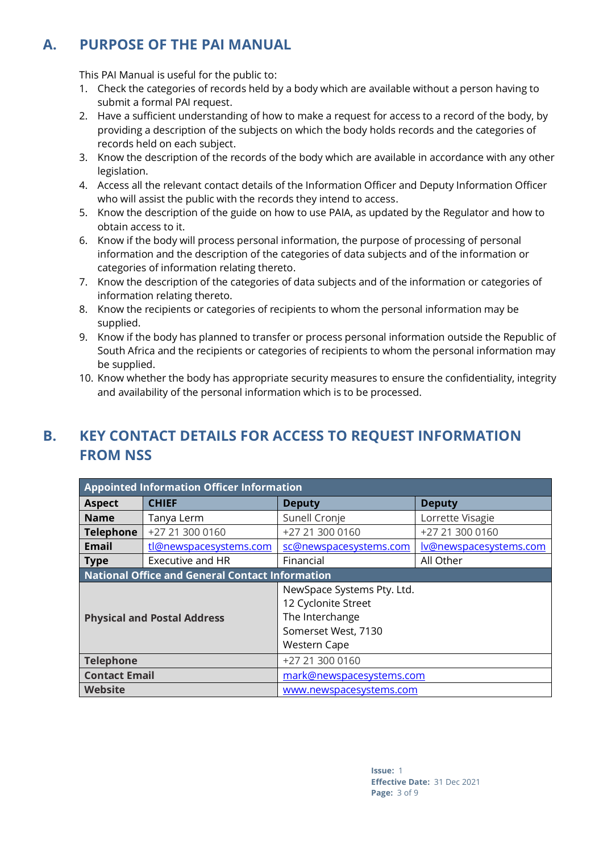# **A. PURPOSE OF THE PAI MANUAL**

This PAI Manual is useful for the public to:

- 1. Check the categories of records held by a body which are available without a person having to submit a formal PAI request.
- 2. Have a sufficient understanding of how to make a request for access to a record of the body, by providing a description of the subjects on which the body holds records and the categories of records held on each subject.
- 3. Know the description of the records of the body which are available in accordance with any other legislation.
- 4. Access all the relevant contact details of the Information Officer and Deputy Information Officer who will assist the public with the records they intend to access.
- 5. Know the description of the guide on how to use PAIA, as updated by the Regulator and how to obtain access to it.
- 6. Know if the body will process personal information, the purpose of processing of personal information and the description of the categories of data subjects and of the information or categories of information relating thereto.
- 7. Know the description of the categories of data subjects and of the information or categories of information relating thereto.
- 8. Know the recipients or categories of recipients to whom the personal information may be supplied.
- 9. Know if the body has planned to transfer or process personal information outside the Republic of South Africa and the recipients or categories of recipients to whom the personal information may be supplied.
- 10. Know whether the body has appropriate security measures to ensure the confidentiality, integrity and availability of the personal information which is to be processed.

# **B. KEY CONTACT DETAILS FOR ACCESS TO REQUEST INFORMATION FROM NSS**

| <b>Appointed Information Officer Information</b> |                                                        |                                                                                                                    |                               |
|--------------------------------------------------|--------------------------------------------------------|--------------------------------------------------------------------------------------------------------------------|-------------------------------|
| <b>Aspect</b>                                    | <b>CHIEF</b>                                           | <b>Deputy</b>                                                                                                      | <b>Deputy</b>                 |
| <b>Name</b>                                      | Tanya Lerm                                             | Sunell Cronje                                                                                                      | Lorrette Visagie              |
| <b>Telephone</b>                                 | +27 21 300 0160                                        | +27 21 300 0160                                                                                                    | +27 21 300 0160               |
| Email                                            | tl@newspacesystems.com                                 | sc@newspacesystems.com                                                                                             | <u>lv@newspacesystems.com</u> |
| <b>Type</b>                                      | <b>Executive and HR</b>                                | Financial                                                                                                          | All Other                     |
|                                                  | <b>National Office and General Contact Information</b> |                                                                                                                    |                               |
| <b>Physical and Postal Address</b>               |                                                        | NewSpace Systems Pty. Ltd.<br>12 Cyclonite Street<br>The Interchange<br>Somerset West, 7130<br><b>Western Cape</b> |                               |
| <b>Telephone</b>                                 |                                                        | +27 21 300 0160                                                                                                    |                               |
| <b>Contact Email</b>                             |                                                        | mark@newspacesystems.com                                                                                           |                               |
| <b>Website</b>                                   | www.newspacesystems.com                                |                                                                                                                    |                               |

**Issue:** 1 **Effective Date:** 31 Dec 2021 **Page:** 3 of 9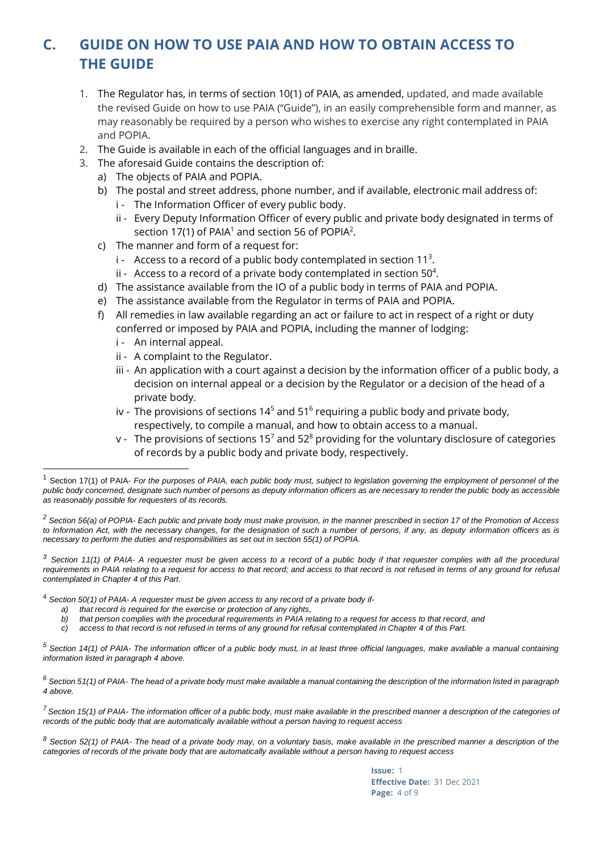# **C. GUIDE ON HOW TO USE PAIA AND HOW TO OBTAIN ACCESS TO THE GUIDE**

- 1. The Regulator has, in terms of section 10(1) of PAIA, as amended, updated, and made available the revised Guide on how to use PAIA ("Guide"), in an easily comprehensible form and manner, as may reasonably be required by a person who wishes to exercise any right contemplated in PAIA and POPIA.
- 2. The Guide is available in each of the official languages and in braille.
- 3. The aforesaid Guide contains the description of:
	- a) The objects of PAIA and POPIA.
	- b) The postal and street address, phone number, and if available, electronic mail address of:
		- i The Information Officer of every public body.
			- ii Every Deputy Information Officer of every public and private body designated in terms of section 17(1) of PAIA $^1$  and section 56 of POPIA $^2$ .
	- c) The manner and form of a request for:
		- $i$  Access to a record of a public body contemplated in section 11<sup>3</sup>.
		- ii Access to a record of a private body contemplated in section 50 $4$ .
	- d) The assistance available from the IO of a public body in terms of PAIA and POPIA.
	- e) The assistance available from the Regulator in terms of PAIA and POPIA.
	- f) All remedies in law available regarding an act or failure to act in respect of a right or duty conferred or imposed by PAIA and POPIA, including the manner of lodging:
		- i An internal appeal.
		- ii A complaint to the Regulator.
		- iii An application with a court against a decision by the information officer of a public body, a decision on internal appeal or a decision by the Regulator or a decision of the head of a private body.
		- iv The provisions of sections 14<sup>5</sup> and 51<sup>6</sup> requiring a public body and private body, respectively, to compile a manual, and how to obtain access to a manual.
		- v The provisions of sections 15<sup>7</sup> and 52<sup>8</sup> providing for the voluntary disclosure of categories of records by a public body and private body, respectively.

*<sup>3</sup> Section 11(1) of PAIA- A requester must be given access to a record of a public body if that requester complies with all the procedural* requirements in PAIA relating to a request for access to that record; and access to that record is not refused in terms of any ground for refusal *contemplated in Chapter 4 of this Part.*

- <sup>4</sup> *Section 50(1) of PAIA- A requester must be given access to any record of a private body if*
	- *a) that record is required for the exercise or protection of any rights,*
	- *b) that person complies with the procedural requirements in PAIA relating to a request for access to that record, and*
	- *c) access to that record is not refused in terms of any ground for refusal contemplated in Chapter 4 of this Part.*

*<sup>5</sup> Section 14(1) of PAIA- The information officer of a public body must, in at least three official languages, make available a manual containing information listed in paragraph 4 above.*

*<sup>6</sup> Section 51(1) of PAIA- The head of a private body must make available a manual containing the description of the information listed in paragraph 4 above.*

*<sup>7</sup> Section 15(1) of PAIA- The information officer of a public body, must make available in the prescribed manner a description of the categories of records of the public body that are automatically available without a person having to request access*

*<sup>8</sup> Section 52(1) of PAIA- The head of a private body may, on a voluntary basis, make available in the prescribed manner a description of the categories of records of the private body that are automatically available without a person having to request access*

> **Issue:** 1 **Effective Date:** 31 Dec 2021 **Page:** 4 of 9

<sup>1</sup> Section 17(1) of PAIA- *For the purposes of PAIA, each public body must, subject to legislation governing the employment of personnel of the public body concerned, designate such number of persons as deputy information officers as are necessary to render the public body as accessible as reasonably possible for requesters of its records.* 

*<sup>2</sup> Section 56(a) of POPIA- Each public and private body must make provision, in the manner prescribed in section 17 of the Promotion of Access to Information Act, with the necessary changes, for the designation of such a number of persons, if any, as deputy information officers as is necessary to perform the duties and responsibilities as set out in section 55(1) of POPIA.*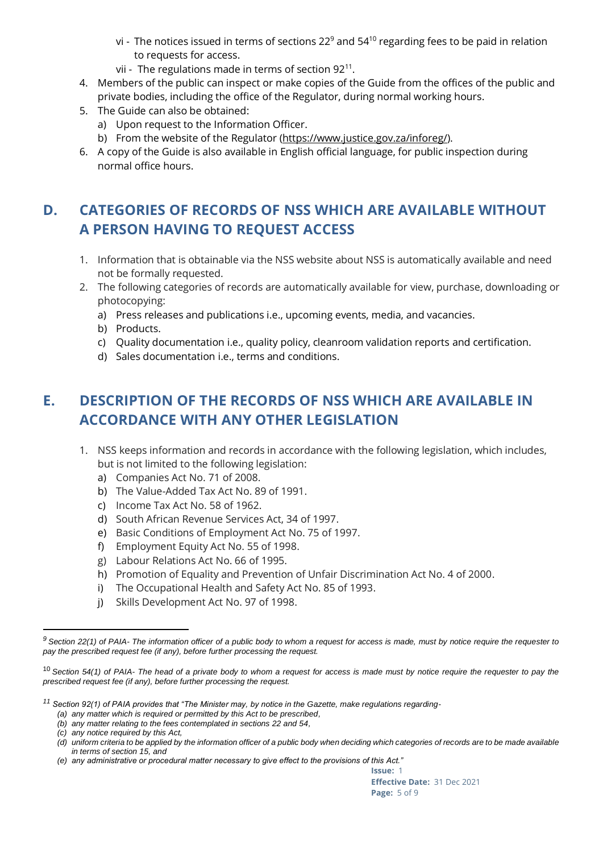- vi The notices issued in terms of sections  $22^9$  and  $54^{10}$  regarding fees to be paid in relation to requests for access.
- vii The regulations made in terms of section 92 $^{\rm 11}.$
- 4. Members of the public can inspect or make copies of the Guide from the offices of the public and private bodies, including the office of the Regulator, during normal working hours.
- 5. The Guide can also be obtained:
	- a) Upon request to the Information Officer.
	- b) From the website of the Regulator (https://www.justice.gov.za/inforeg/).
- 6. A copy of the Guide is also available in English official language, for public inspection during normal office hours.

# **D. CATEGORIES OF RECORDS OF NSS WHICH ARE AVAILABLE WITHOUT A PERSON HAVING TO REQUEST ACCESS**

- 1. Information that is obtainable via the NSS website about NSS is automatically available and need not be formally requested.
- 2. The following categories of records are automatically available for view, purchase, downloading or photocopying:
	- a) Press releases and publications i.e., upcoming events, media, and vacancies.
	- b) Products.
	- c) Quality documentation i.e., quality policy, cleanroom validation reports and certification.
	- d) Sales documentation i.e., terms and conditions.

# **E. DESCRIPTION OF THE RECORDS OF NSS WHICH ARE AVAILABLE IN ACCORDANCE WITH ANY OTHER LEGISLATION**

- 1. NSS keeps information and records in accordance with the following legislation, which includes, but is not limited to the following legislation:
	- a) Companies Act No. 71 of 2008.
	- b) The Value-Added Tax Act No. 89 of 1991.
	- c) Income Tax Act No. 58 of 1962.
	- d) South African Revenue Services Act, 34 of 1997.
	- e) Basic Conditions of Employment Act No. 75 of 1997.
	- f) Employment Equity Act No. 55 of 1998.
	- g) Labour Relations Act No. 66 of 1995.
	- h) Promotion of Equality and Prevention of Unfair Discrimination Act No. 4 of 2000.
	- i) The Occupational Health and Safety Act No. 85 of 1993.
	- j) Skills Development Act No. 97 of 1998.

*<sup>9</sup> Section 22(1) of PAIA- The information officer of a public body to whom a request for access is made, must by notice require the requester to pay the prescribed request fee (if any), before further processing the request.*

<sup>10</sup> *Section 54(1) of PAIA- The head of a private body to whom a request for access is made must by notice require the requester to pay the prescribed request fee (if any), before further processing the request.*

*<sup>11</sup> Section 92(1) of PAIA provides that "The Minister may, by notice in the Gazette, make regulations regarding-*

*<sup>(</sup>a) any matter which is required or permitted by this Act to be prescribed,*

*<sup>(</sup>b) any matter relating to the fees contemplated in sections 22 and 54,*

*<sup>(</sup>c) any notice required by this Act,*

*<sup>(</sup>d) uniform criteria to be applied by the information officer of a public body when deciding which categories of records are to be made available in terms of section 15, and*

*<sup>(</sup>e) any administrative or procedural matter necessary to give effect to the provisions of this Act."*

**Issue:** 1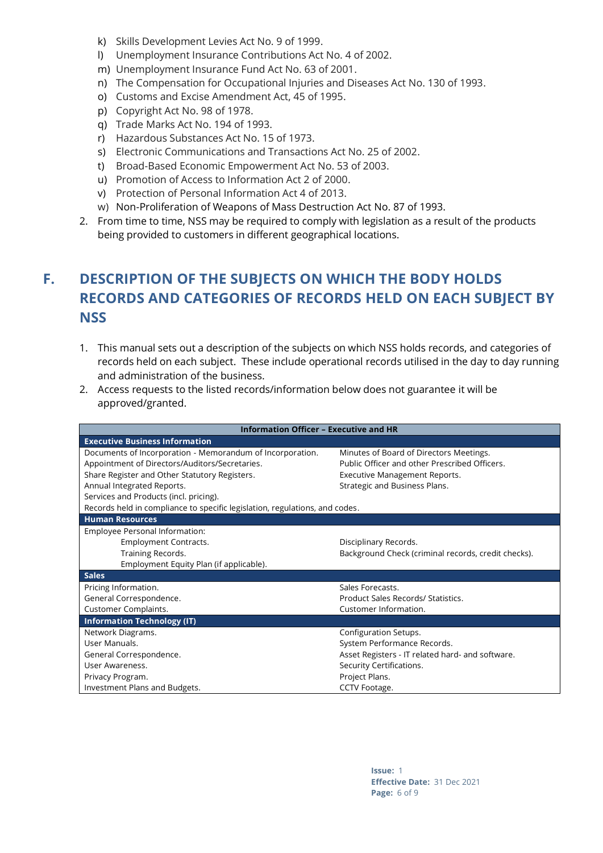- k) Skills Development Levies Act No. 9 of 1999.
- l) Unemployment Insurance Contributions Act No. 4 of 2002.
- m) Unemployment Insurance Fund Act No. 63 of 2001.
- n) The Compensation for Occupational Injuries and Diseases Act No. 130 of 1993.
- o) Customs and Excise Amendment Act, 45 of 1995.
- p) Copyright Act No. 98 of 1978.
- q) Trade Marks Act No. 194 of 1993.
- r) Hazardous Substances Act No. 15 of 1973.
- s) Electronic Communications and Transactions Act No. 25 of 2002.
- t) Broad-Based Economic Empowerment Act No. 53 of 2003.
- u) Promotion of Access to Information Act 2 of 2000.
- v) Protection of Personal Information Act 4 of 2013.
- w) Non-Proliferation of Weapons of Mass Destruction Act No. 87 of 1993.
- 2. From time to time, NSS may be required to comply with legislation as a result of the products being provided to customers in different geographical locations.

# **F. DESCRIPTION OF THE SUBJECTS ON WHICH THE BODY HOLDS RECORDS AND CATEGORIES OF RECORDS HELD ON EACH SUBJECT BY NSS**

- 1. This manual sets out a description of the subjects on which NSS holds records, and categories of records held on each subject. These include operational records utilised in the day to day running and administration of the business.
- 2. Access requests to the listed records/information below does not guarantee it will be approved/granted.

| <b>Information Officer - Executive and HR</b>                               |                                                     |
|-----------------------------------------------------------------------------|-----------------------------------------------------|
| <b>Executive Business Information</b>                                       |                                                     |
| Documents of Incorporation - Memorandum of Incorporation.                   | Minutes of Board of Directors Meetings.             |
| Appointment of Directors/Auditors/Secretaries.                              | Public Officer and other Prescribed Officers.       |
| Share Register and Other Statutory Registers.                               | Executive Management Reports.                       |
| Annual Integrated Reports.                                                  | Strategic and Business Plans.                       |
| Services and Products (incl. pricing).                                      |                                                     |
| Records held in compliance to specific legislation, regulations, and codes. |                                                     |
| <b>Human Resources</b>                                                      |                                                     |
| Employee Personal Information:                                              |                                                     |
| Employment Contracts.                                                       | Disciplinary Records.                               |
| Training Records.                                                           | Background Check (criminal records, credit checks). |
| Employment Equity Plan (if applicable).                                     |                                                     |
| <b>Sales</b>                                                                |                                                     |
| Pricing Information.                                                        | Sales Forecasts.                                    |
| General Correspondence.                                                     | Product Sales Records/ Statistics.                  |
| Customer Complaints.                                                        | Customer Information.                               |
| <b>Information Technology (IT)</b>                                          |                                                     |
| Network Diagrams.                                                           | Configuration Setups.                               |
| User Manuals.                                                               | System Performance Records.                         |
| General Correspondence.                                                     | Asset Registers - IT related hard- and software.    |
| User Awareness.                                                             | Security Certifications.                            |
| Privacy Program.                                                            | Project Plans.                                      |
| Investment Plans and Budgets.                                               | CCTV Footage.                                       |

**Issue:** 1 **Effective Date:** 31 Dec 2021 **Page:** 6 of 9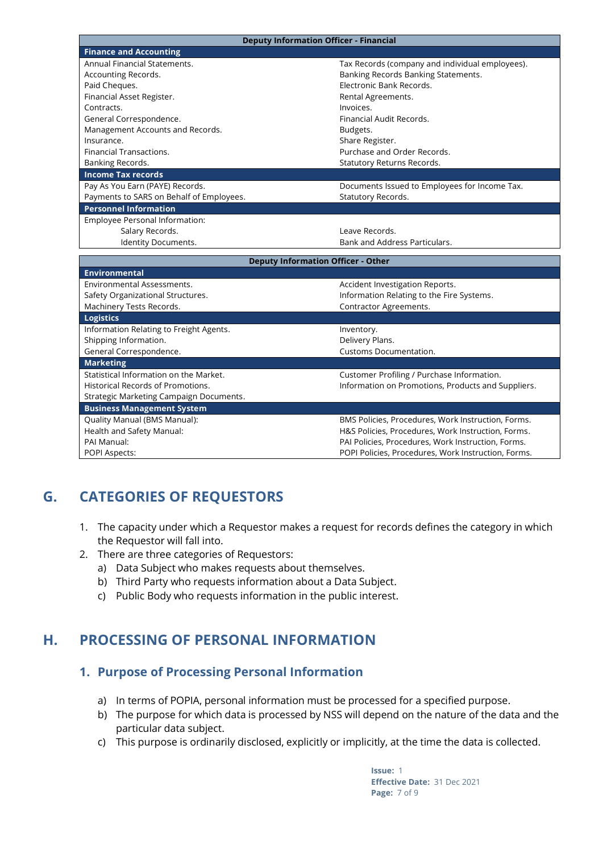| <b>Deputy Information Officer - Financial</b> |                                                                                                           |
|-----------------------------------------------|-----------------------------------------------------------------------------------------------------------|
| <b>Finance and Accounting</b>                 |                                                                                                           |
| Annual Financial Statements.                  | Tax Records (company and individual employees).                                                           |
| Accounting Records.                           | Banking Records Banking Statements.                                                                       |
| Paid Cheques.                                 | Electronic Bank Records.                                                                                  |
| Financial Asset Register.                     | Rental Agreements.                                                                                        |
| Contracts.                                    | Invoices.                                                                                                 |
| General Correspondence.                       | Financial Audit Records.                                                                                  |
| Management Accounts and Records.              | Budgets.                                                                                                  |
| Insurance.                                    | Share Register.                                                                                           |
| Financial Transactions.                       | Purchase and Order Records.                                                                               |
| Banking Records.                              | Statutory Returns Records.                                                                                |
| <b>Income Tax records</b>                     |                                                                                                           |
| Pay As You Earn (PAYE) Records.               | Documents Issued to Employees for Income Tax.                                                             |
| Payments to SARS on Behalf of Employees.      | Statutory Records.                                                                                        |
| <b>Personnel Information</b>                  |                                                                                                           |
| Employee Personal Information:                |                                                                                                           |
| Salary Records.                               | Leave Records.                                                                                            |
| Identity Documents.                           | Bank and Address Particulars.                                                                             |
|                                               |                                                                                                           |
|                                               |                                                                                                           |
| <b>Deputy Information Officer - Other</b>     |                                                                                                           |
| <b>Environmental</b>                          |                                                                                                           |
| Environmental Assessments.                    | Accident Investigation Reports.                                                                           |
| Safety Organizational Structures.             | Information Relating to the Fire Systems.                                                                 |
| Machinery Tests Records.                      | Contractor Agreements.                                                                                    |
| <b>Logistics</b>                              |                                                                                                           |
| Information Relating to Freight Agents.       | Inventory.                                                                                                |
| Shipping Information.                         | Delivery Plans.                                                                                           |
| General Correspondence.                       | Customs Documentation.                                                                                    |
| <b>Marketing</b>                              |                                                                                                           |
| Statistical Information on the Market.        | Customer Profiling / Purchase Information.                                                                |
| Historical Records of Promotions.             | Information on Promotions, Products and Suppliers.                                                        |
| Strategic Marketing Campaign Documents.       |                                                                                                           |
| <b>Business Management System</b>             |                                                                                                           |
| Quality Manual (BMS Manual):                  | BMS Policies, Procedures, Work Instruction, Forms.                                                        |
| Health and Safety Manual:<br>PAI Manual:      | H&S Policies, Procedures, Work Instruction, Forms.                                                        |
| <b>POPI Aspects:</b>                          | PAI Policies, Procedures, Work Instruction, Forms.<br>POPI Policies, Procedures, Work Instruction, Forms. |

# **G. CATEGORIES OF REQUESTORS**

- 1. The capacity under which a Requestor makes a request for records defines the category in which the Requestor will fall into.
- 2. There are three categories of Requestors:
	- a) Data Subject who makes requests about themselves.
	- b) Third Party who requests information about a Data Subject.
	- c) Public Body who requests information in the public interest.

## **H. PROCESSING OF PERSONAL INFORMATION**

#### **1. Purpose of Processing Personal Information**

- a) In terms of POPIA, personal information must be processed for a specified purpose.
- b) The purpose for which data is processed by NSS will depend on the nature of the data and the particular data subject.
- c) This purpose is ordinarily disclosed, explicitly or implicitly, at the time the data is collected.

**Issue:** 1 **Effective Date:** 31 Dec 2021 **Page:** 7 of 9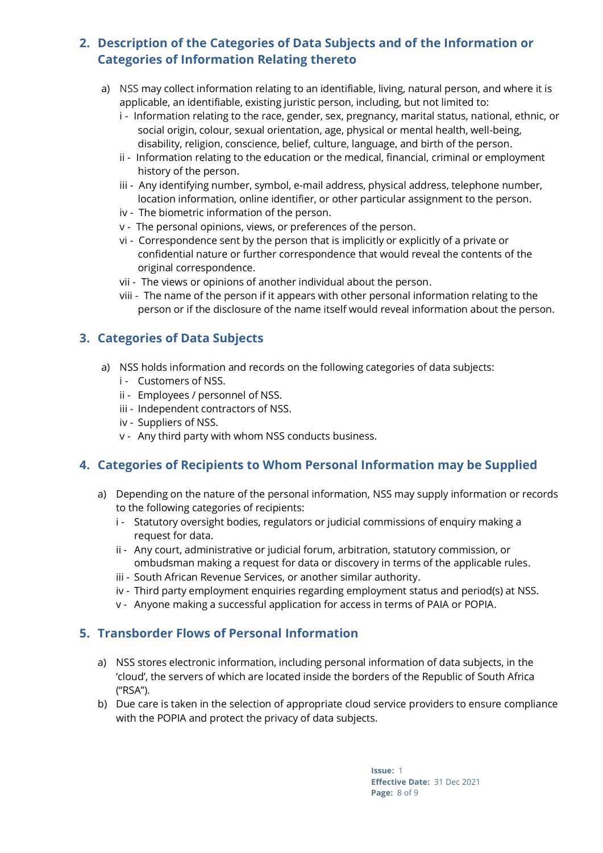#### **2. Description of the Categories of Data Subjects and of the Information or Categories of Information Relating thereto**

- a) NSS may collect information relating to an identifiable, living, natural person, and where it is applicable, an identifiable, existing juristic person, including, but not limited to:
	- i Information relating to the race, gender, sex, pregnancy, marital status, national, ethnic, or social origin, colour, sexual orientation, age, physical or mental health, well-being, disability, religion, conscience, belief, culture, language, and birth of the person.
	- ii Information relating to the education or the medical, financial, criminal or employment history of the person.
	- iii Any identifying number, symbol, e-mail address, physical address, telephone number, location information, online identifier, or other particular assignment to the person.
	- iv The biometric information of the person.
	- v The personal opinions, views, or preferences of the person.
	- vi Correspondence sent by the person that is implicitly or explicitly of a private or confidential nature or further correspondence that would reveal the contents of the original correspondence.
	- vii The views or opinions of another individual about the person.
	- viii The name of the person if it appears with other personal information relating to the person or if the disclosure of the name itself would reveal information about the person.

#### **3. Categories of Data Subjects**

- a) NSS holds information and records on the following categories of data subjects:
	- i Customers of NSS.
	- ii Employees / personnel of NSS.
	- iii Independent contractors of NSS.
	- iv Suppliers of NSS.
	- v Any third party with whom NSS conducts business.

#### **4. Categories of Recipients to Whom Personal Information may be Supplied**

- a) Depending on the nature of the personal information, NSS may supply information or records to the following categories of recipients:
	- i Statutory oversight bodies, regulators or judicial commissions of enquiry making a request for data.
	- ii Any court, administrative or judicial forum, arbitration, statutory commission, or ombudsman making a request for data or discovery in terms of the applicable rules.
	- iii South African Revenue Services, or another similar authority.
	- iv Third party employment enquiries regarding employment status and period(s) at NSS.
	- v Anyone making a successful application for access in terms of PAIA or POPIA.

#### **5. Transborder Flows of Personal Information**

- a) NSS stores electronic information, including personal information of data subjects, in the 'cloud', the servers of which are located inside the borders of the Republic of South Africa ("RSA").
- b) Due care is taken in the selection of appropriate cloud service providers to ensure compliance with the POPIA and protect the privacy of data subjects.